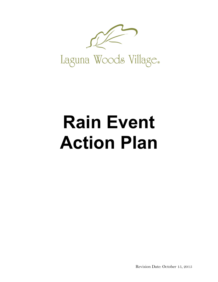

# **Rain Event Action Plan**

Revision Date: October 15, 2015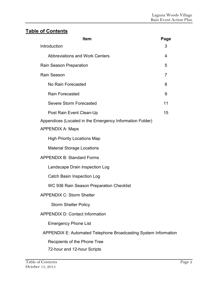# **Table of Contents**

| Item                                                            | Page |
|-----------------------------------------------------------------|------|
| Introduction                                                    | 3    |
| <b>Abbreviations and Work Centers</b>                           | 4    |
| Rain Season Preparation                                         | 5    |
| Rain Season                                                     | 7    |
| No Rain Forecasted                                              | 8    |
| Rain Forecasted                                                 | 9    |
| <b>Severe Storm Forecasted</b>                                  | 11   |
| Post Rain Event Clean-Up                                        | 15   |
| Appendices (Located in the Emergency Information Folder)        |      |
| <b>APPENDIX A: Maps</b>                                         |      |
| <b>High Priority Locations Map</b>                              |      |
| <b>Material Storage Locations</b>                               |      |
| <b>APPENDIX B: Standard Forms</b>                               |      |
| Landscape Drain Inspection Log                                  |      |
| <b>Catch Basin Inspection Log</b>                               |      |
| WC 936 Rain Season Preparation Checklist                        |      |
| <b>APPENDIX C: Storm Shelter</b>                                |      |
| <b>Storm Shelter Policy</b>                                     |      |
| <b>APPENDIX D: Contact Information</b>                          |      |
| <b>Emergency Phone List</b>                                     |      |
| APPENDIX E: Automated Telephone Broadcasting System Information |      |
| Recipients of the Phone Tree                                    |      |
| 72-hour and 12-hour Scripts                                     |      |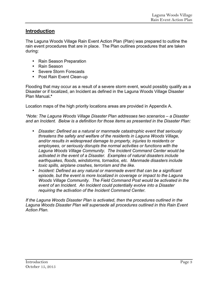# **Introduction**

The Laguna Woods Village Rain Event Action Plan (Plan) was prepared to outline the rain event procedures that are in place. The Plan outlines procedures that are taken during:

- Rain Season Preparation
- Rain Season
- Severe Storm Forecasts
- Post Rain Event Clean-up

Flooding that may occur as a result of a severe storm event, would possibly qualify as a Disaster or if localized, an Incident as defined in the Laguna Woods Village Disaster Plan Manual**.\*** 

Location maps of the high priority locations areas are provided in Appendix A.

*\*Note: The Laguna Woods Village Disaster Plan addresses two scenarios – a Disaster and an Incident. Below is a definition for those items as presented in the Disaster Plan:* 

- *Disaster: Defined as a natural or manmade catastrophic event that seriously threatens the safety and welfare of the residents in Laguna Woods Village, and/or results in widespread damage to property, injuries to residents or employees, or seriously disrupts the normal activities or functions with the Laguna Woods Village Community. The Incident Command Center would be activated in the event of a Disaster. Examples of natural disasters include earthquakes, floods, windstorms, tornados, etc. Manmade disasters include toxic spills, airplane crashes, terrorism and the like.*
- *Incident: Defined as any natural or manmade event that can be a significant episode, but the event is more localized in coverage or impact to the Laguna Woods Village Community. The Field Command Post would be activated in the event of an Incident. An Incident could potentially evolve into a Disaster requiring the activation of the Incident Command Center.*

*If the Laguna Woods Disaster Plan is activated, then the procedures outlined in the*  Laguna Woods Disaster Plan will supersede all procedures outlined in this Rain Event *Action Plan.*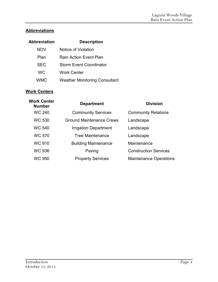# **Abbreviations**

| Abbreviation | <b>Description</b>                   |
|--------------|--------------------------------------|
| NOV          | Notice of Violation                  |
| Plan         | Rain Action Event Plan               |
| <b>SEC</b>   | <b>Storm Event Coordinator</b>       |
| <b>WC</b>    | <b>Work Center</b>                   |
| <b>WMC</b>   | <b>Weather Monitoring Consultant</b> |

# **Work Centers**

| <b>Work Center</b><br><b>Department</b><br><b>Number</b> |                                 | <b>Division</b>               |  |  |
|----------------------------------------------------------|---------------------------------|-------------------------------|--|--|
| <b>WC 240</b>                                            | <b>Community Services</b>       | <b>Community Relations</b>    |  |  |
| <b>WC 530</b>                                            | <b>Ground Maintenance Crews</b> | Landscape                     |  |  |
| <b>WC 540</b>                                            | <b>Irrigation Department</b>    | Landscape                     |  |  |
| <b>WC 570</b>                                            | <b>Tree Maintenance</b>         | Landscape                     |  |  |
| <b>WC 910</b>                                            | <b>Building Maintenance</b>     | Maintenance                   |  |  |
| <b>WC 936</b>                                            | Paving                          | <b>Construction Services</b>  |  |  |
| WC 950                                                   | <b>Property Services</b>        | <b>Maintenance Operations</b> |  |  |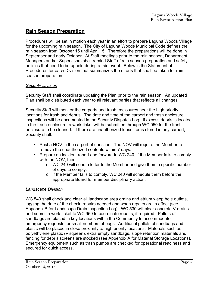# **Rain Season Preparation**

Procedures will be set in motion each year in an effort to prepare Laguna Woods Village for the upcoming rain season. The City of Laguna Woods Municipal Code defines the rain season from October 15 until April 15. Therefore the preparations will be done in September and early October. At Staff meetings prior to the rain season, Department Managers and/or Supervisors shall remind Staff of rain season preparation and safety policies that need to be upheld during a rain event. Below is the Statement of Procedures for each Division that summarizes the efforts that shall be taken for rain season preparation.

# *Security Division*

Security Staff shall coordinate updating the Plan prior to the rain season. An updated Plan shall be distributed each year to all relevant parties that reflects all changes.

Security Staff will monitor the carports and trash enclosures near the high priority locations for trash and debris. The date and time of the carport and trash enclosure inspections will be documented in the Security Dispatch Log. If excess debris is located in the trash enclosure, a work ticket will be submitted through WC 950 for the trash enclosure to be cleaned. If there are unauthorized loose items stored in any carport, Security shall:

- Post a NOV in the carport of question. The NOV will require the Member to remove the unauthorized contents within 7 days.
- Prepare an incident report and forward to WC 240, if the Member fails to comply with the NOV, then:
	- o WC 240 will send a letter to the Member and give them a specific number of days to comply.
	- o If the Member fails to comply, WC 240 will schedule them before the appropriate Board for member disciplinary action.

# *Landscape Division*

WC 540 shall check and clear all landscape area drains and atrium weep hole outlets, logging the date of the check, repairs needed and when repairs are in effect (see Appendix B for Landscape Drain Inspection Log). WC 530 will clear concrete V-drains and submit a work ticket to WC 950 to coordinate repairs, if required. Pallets of sandbags are placed in key locations within the Community to accommodate emergency requests for small numbers of bags. Additional pallets of sandbags and plastic will be placed in close proximity to high priority locations. Materials such as polyethylene plastic (Visqueen), extra empty sandbags, slope retention materials and fencing for debris screens are stocked (see Appendix A for Material Storage Locations). Emergency equipment such as trash pumps are checked for operational readiness and secured for quick access.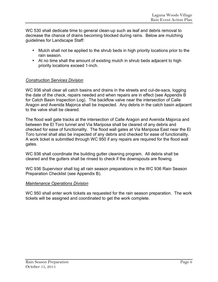WC 530 shall dedicate time to general clean-up such as leaf and debris removal to decrease the chance of drains becoming blocked during rains. Below are mulching guidelines for Landscape Staff:

- Mulch shall not be applied to the shrub beds in high priority locations prior to the rain season.
- At no time shall the amount of existing mulch in shrub beds adjacent to high priority locations exceed 1-inch.

# *Construction Services Division*

WC 936 shall clear all catch basins and drains in the streets and cul-de-sacs, logging the date of the check, repairs needed and when repairs are in effect (see Appendix B for Catch Basin Inspection Log). The backflow valve near the intersection of Calle Aragon and Avenida Majorca shall be inspected. Any debris in the catch basin adjacent to the valve shall be cleared.

The flood wall gate tracks at the intersection of Calle Aragon and Avenida Majorca and between the El Toro tunnel and Via Mariposa shall be cleared of any debris and checked for ease of functionality. The flood wall gates at Via Mariposa East near the El Toro tunnel shall also be inspected of any debris and checked for ease of functionality. A work ticket is submitted through WC 950 if any repairs are required for the flood wall gates.

WC 936 shall coordinate the building gutter cleaning program. All debris shall be cleared and the gutters shall be rinsed to check if the downspouts are flowing.

WC 936 Supervisor shall log all rain season preparations in the WC 936 Rain Season Preparation Checklist (see Appendix B).

# *Maintenance Operations Division*

WC 950 shall enter work tickets as requested for the rain season preparation. The work tickets will be assigned and coordinated to get the work complete.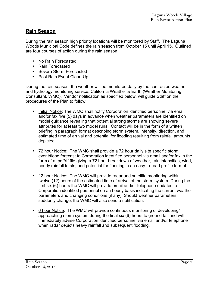# **Rain Season**

During the rain season high priority locations will be monitored by Staff. The Laguna Woods Municipal Code defines the rain season from October 15 until April 15. Outlined are four courses of action during the rain season:

- No Rain Forecasted
- Rain Forecasted
- Severe Storm Forecasted
- Post Rain Event Clean-Up

During the rain season, the weather will be monitored daily by the contracted weather and hydrology monitoring service, California Weather & Earth (Weather Monitoring Consultant, WMC). Vendor notification as specified below, will guide Staff on the procedures of the Plan to follow:

- Initial Notice: The WMC shall notify Corporation identified personnel via email and/or fax five (5) days in advance when weather parameters are identified on model guidance revealing that potential strong storms are showing severe attributes for at least two model runs. Contact will be in the form of a written briefing in paragraph format describing storm system, intensity, direction, and estimated time of arrival and potential for flooding resulting from rainfall amounts depicted.
- 72 hour Notice: The WMC shall provide a 72 hour daily site specific storm event/flood forecast to Corporation identified personnel via email and/or fax in the form of a .pdf/rtf file giving a 72 hour breakdown of weather, rain intensities, wind, hourly rainfall totals, and potential for flooding in an easy-to-read profile format.
- 12 hour Notice: The WMC will provide radar and satellite monitoring within twelve (12) hours of the estimated time of arrival of the storm system. During the first six (6) hours the WMC will provide email and/or telephone updates to Corporation identified personnel on an hourly basis indicating the current weather parameters and changing conditions (if any). Should weather parameters suddenly change, the WMC will also send a notification.
- 6 hour Notice: The WMC will provide continuous monitoring of developing/ approaching storm system during the final six (6) hours to ground fall and will immediately advise Corporation identified personnel via email and/or telephone when radar depicts heavy rainfall and subsequent flooding.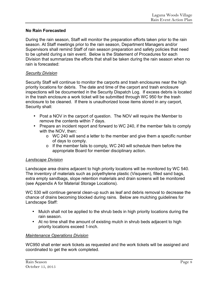## **No Rain Forecasted**

During the rain season, Staff will monitor the preparation efforts taken prior to the rain season. At Staff meetings prior to the rain season, Department Managers and/or Supervisors shall remind Staff of rain season preparation and safety policies that need to be upheld during a rain event. Below is the Statement of Procedures for each Division that summarizes the efforts that shall be taken during the rain season when no rain is forecasted:

#### *Security Division*

Security Staff will continue to monitor the carports and trash enclosures near the high priority locations for debris. The date and time of the carport and trash enclosure inspections will be documented in the Security Dispatch Log. If excess debris is located in the trash enclosure a work ticket will be submitted through WC 950 for the trash enclosure to be cleaned. If there is unauthorized loose items stored in any carport, Security shall:

- Post a NOV in the carport of question. The NOV will require the Member to remove the contents within 7 days.
- Prepare an incident report and forward to WC 240, if the member fails to comply with the NOV, then:
	- o WC 240 will send a letter to the member and give them a specific number of days to comply.
	- o If the member fails to comply, WC 240 will schedule them before the appropriate Board for member disciplinary action.

#### *Landscape Division*

Landscape area drains adjacent to high priority locations will be monitored by WC 540. The inventory of materials such as polyethylene plastic (Visqueen), filled sand bags, extra empty sandbags, slope retention materials and drain screens will be monitored (see Appendix A for Material Storage Locations).

WC 530 will continue general clean-up such as leaf and debris removal to decrease the chance of drains becoming blocked during rains. Below are mulching guidelines for Landscape Staff:

- Mulch shall not be applied to the shrub beds in high priority locations during the rain season.
- At no time shall the amount of existing mulch in shrub beds adjacent to high priority locations exceed 1-inch.

#### *Maintenance Operations Division*

WC950 shall enter work tickets as requested and the work tickets will be assigned and coordinated to get the work completed.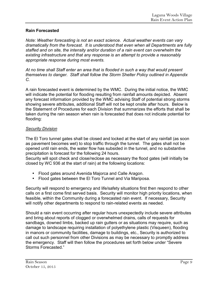# **Rain Forecasted**

*Note: Weather forecasting is not an exact science. Actual weather events can vary dramatically from the forecast. It is understood that even when all Departments are fully staffed and on site, the intensity and/or duration of a rain event can overwhelm the existing infrastructure and that any response is an attempt to provide a reasonably appropriate response during most events.* 

*At no time shall Staff enter an area that is flooded in such a way that would present themselves to danger. Staff shall follow the Storm Shelter Policy outlined in Appendix C.* 

A rain forecasted event is determined by the WMC. During the initial notice, the WMC will indicate the potential for flooding resulting from rainfall amounts depicted. Absent any forecast information provided by the WMC advising Staff of potential strong storms showing severe attributes, additional Staff will not be kept onsite after hours. Below is the Statement of Procedures for each Division that summarizes the efforts that shall be taken during the rain season when rain is forecasted that does not indicate potential for flooding:

## *Security Division*

The El Toro tunnel gates shall be closed and locked at the start of any rainfall (as soon as pavement becomes wet) to stop traffic through the tunnel. The gates shall not be opened until rain ends, the water flow has subsided in the tunnel, and no substantive precipitation is forecast for the following 24 hours.

Security will spot check and close/reclose as necessary the flood gates (will initially be closed by WC 936 at the start of rain) at the following locations:

- Flood gates around Avenida Majorca and Calle Aragon.
- Flood gates between the El Toro Tunnel and Via Mariposa.

Security will respond to emergency and life/safety situations first then respond to other calls on a first come first served basis. Security will monitor high priority locations, when feasible, within the Community during a forecasted rain event. If necessary, Security will notify other departments to respond to rain-related events as needed.

Should a rain event occurring after regular hours unexpectedly include severe attributes and bring about reports of clogged or overwhelmed drains, calls of requests for sandbags, downed limbs, backed up rain gutters or as situations may require, such as damage to landscape requiring installation of polyethylene plastic (Visqueen), flooding in manors or community facilities, damage to buildings, etc., Security is authorized to call out such personnel from other Divisions as may be necessary to promptly address the emergency. Staff will then follow the procedures set forth below under "Severe Storms Forecasted."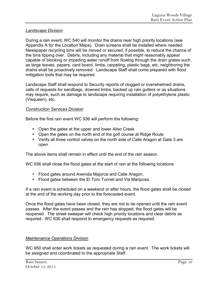# *Landscape Division*

During a rain event, WC 540 will monitor the drains near high priority locations (see Appendix A for the Location Maps). Drain screens shall be installed where needed. Newspaper recycling bins will be moved or secured, if possible, to reduce the chance of the bins tipping over. Debris, including any material that might reasonably appear capable of blocking or impeding water runoff from flowing through the drain grates such as large leaves, papers, card board, limbs, carpeting, plastic bags, etc, neighboring the drains shall be proactively removed. Landscape Staff shall come prepared with flood mitigation tools that may be required.

Landscape Staff shall respond to Security reports of clogged or overwhelmed drains, calls of requests for sandbags, downed limbs, backed up rain gutters or as situations may require, such as damage to landscape requiring installation of polyethylene plastic (Visqueen), etc.

#### *Construction Services Division*

Before the first rain event WC 936 will perform the following:

- Open the gates at the upper and lower Aliso Creek
- Open the gates on the north end of the golf course at Ridge Route
- Verify all three control valves on the north side of Calle Aragon at Gate 3 are open.

The above items shall remain in effect until the end of the rain season.

WC 936 shall close the flood gates at the start of rain at the following locations:

- Flood gates around Avenida Majorca and Calle Aragon.
- Flood gates between the El Toro Tunnel and Via Mariposa.

If a rain event is scheduled on a weekend or after hours, the flood gates shall be closed at the end of the working day prior to the forecasted event.

Once the flood gates have been closed, they are not to be opened until the rain event passes. After the event passes and the rain has stopped, the flood gates will be reopened. The street sweeper will check high priority locations and clear debris as required. WC 936 shall respond to emergency requests as required.

## *Maintenance Operations Division*

WC 950 shall enter work tickets as requested during a rain event. The work tickets will be assigned and coordinated to the appropriate Staff.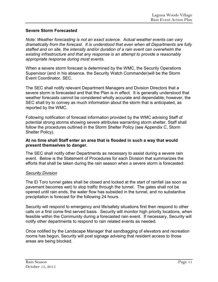# **Severe Storm Forecasted**

*Note: Weather forecasting is not an exact science. Actual weather events can vary dramatically from the forecast. It is understood that even when all Departments are fully staffed and on site, the intensity and/or duration of a rain event can overwhelm the existing infrastructure and that any response is an attempt to provide a reasonably appropriate response during most events.* 

When a severe storm forecast is determined by the WMC, the Security Operations Supervisor (and in his absence, the Security Watch Commander)will be the Storm Event Coordinator, SEC.

The SEC shall notify relevant Department Managers and Division Directors that a severe storm is forecasted and that the Plan is in effect. It is generally understood that weather forecasts cannot be considered wholly accurate and dependable; however, the SEC shall try to convey as much information about the storm that is anticipated, as reported by the WMC.

Following notification of forecast information provided by the WMC advising Staff of potential strong storms showing severe attributes warranting storm shelter, Staff shall follow the procedures outlined in the Storm Shelter Policy (see Appendix C, Storm Shelter Policy).

#### **At no time shall Staff enter an area that is flooded in such a way that would present themselves to danger.**

The SEC shall notify other Departments as necessary to assist during a severe rain event. Below is the Statement of Procedures for each Division that summarizes the efforts that shall be taken during the rain season when a severe storm is forecasted:

## *Security Division*

The El Toro tunnel gates shall be closed and locked at the start of rainfall (as soon as pavement becomes wet) to stop traffic through the tunnel. The gates shall not be opened until rain ends, the water flow has subsided in the tunnel, and no substantive precipitation is forecast for the following 24 hours. .

Security will respond to emergency and life/safety situations first then respond to other calls on a first come first served basis. Security will monitor high priority locations, when feasible within the Community during a forecasted rain event. If necessary, Security will notify other departments to respond to rain related events as needed.

Once notified by the Landscape Manager that sandbagging of elevators and recreation rooms has begun, Security will post signage advising that resident access to those areas are being blocked.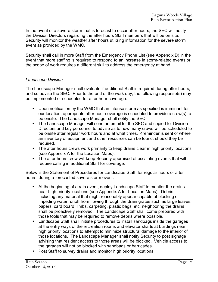In the event of a severe storm that is forecast to occur after hours, the SEC will notify the Division Directors regarding the after hours Staff members that will be on site. Security will monitor the weather after hours utilizing information for the severe storm event as provided by the WMC.

Security shall call in more Staff from the Emergency Phone List (see Appendix D) in the event that more staffing is required to respond to an increase in storm-related events or the scope of work requires a different skill to address the emergency at hand.

#### *Landscape Division*

The Landscape Manager shall evaluate if additional Staff is required during after hours, and so advise the SEC. Prior to the end of the work day, the following response(s) may be implemented or scheduled for after hour coverage:

- Upon notification by the WMC that an intense storm as specified is imminent for our location, appropriate after hour coverage is scheduled to provide a crew(s) to be onsite. The Landscape Manager shall notify the SEC.
- The Landscape Manager will send an email to the SEC and copied to Division Directors and key personnel to advise as to how many crews will be scheduled to be onsite after regular work hours and at what times. 4reminder is sent of where an inventory of equipment and other resources can be found, should they be required.
- The after hours crews work primarily to keep drains clear in high priority locations (see Appendix A for the Location Maps).
- The after hours crew will keep Security appraised of escalating events that will require calling in additional Staff for coverage.

Below is the Statement of Procedures for Landscape Staff, for regular hours or after hours, during a forecasted severe storm event:

- At the beginning of a rain event, deploy Landscape Staff to monitor the drains near high priority locations (see Appendix A for Location Maps). Debris, including any material that might reasonably appear capable of blocking or impeding water runoff from flowing through the drain grates such as large leaves, papers, card board, limbs, carpeting, plastic bags, etc, neighboring the drains shall be proactively removed. The Landscape Staff shall come prepared with those tools that may be required to remove debris where possible.
- Landscape Staff shall initiate procedures to install sandbags inside the garages at the entry ways of the recreation rooms and elevator shafts at buildings near high priority locations to attempt to minimize structural damage to the interior of those locations. The Landscape Manager shall notify Security to post signage advising that resident access to those areas will be blocked. Vehicle access to the garages will not be blocked with sandbags or barricades.
- Post Staff to survey drains and monitor high priority locations.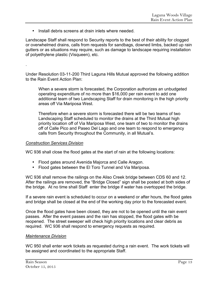• Install debris screens at drain inlets where needed.

Landscape Staff shall respond to Security reports to the best of their ability for clogged or overwhelmed drains, calls from requests for sandbags, downed limbs, backed up rain gutters or as situations may require, such as damage to landscape requiring installation of polyethylene plastic (Visqueen), etc.

Under Resolution 03-11-200 Third Laguna Hills Mutual approved the following addition to the Rain Event Action Plan:

When a severe storm is forecasted, the Corporation authorizes an unbudgeted operating expenditure of no more than \$16,000 per rain event to add one additional team of two Landscaping Staff for drain monitoring in the high priority areas off Via Mariposa West.

Therefore when a severe storm is forecasted there will be two teams of two Landscaping Staff scheduled to monitor the drains at the Third Mutual high priority location off of Via Mariposa West, one team of two to monitor the drains off of Calle Pico and Paseo Del Lago and one team to respond to emergency calls from Security throughout the Community, in all Mutual's.

#### *Construction Services Division*

.

WC 936 shall close the flood gates at the start of rain at the following locations:

- Flood gates around Avenida Majorca and Calle Aragon.
- Flood gates between the El Toro Tunnel and Via Mariposa.

WC 936 shall remove the railings on the Aliso Creek bridge between CDS 60 and 12. After the railings are removed, the "Bridge Closed" sign shall be posted at both sides of the bridge. At no time shall Staff enter the bridge if water has overtopped the bridge.

If a severe rain event is scheduled to occur on a weekend or after hours, the flood gates and bridge shall be closed at the end of the working day prior to the forecasted event.

Once the flood gates have been closed, they are not to be opened until the rain event passes. After the event passes and the rain has stopped, the flood gates with be reopened. The street sweeper will check high priority locations and clear debris as required. WC 936 shall respond to emergency requests as required.

#### *Maintenance Division*

WC 950 shall enter work tickets as requested during a rain event. The work tickets will be assigned and coordinated to the appropriate Staff.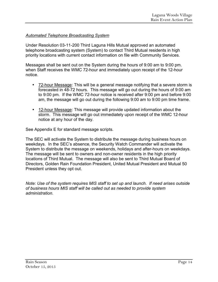# *Automated Telephone Broadcasting System*

Under Resolution 03-11-200 Third Laguna Hills Mutual approved an automated telephone broadcasting system (System) to contact Third Mutual residents in high priority locations with current contact information on file with Community Services.

Messages shall be sent out on the System during the hours of 9:00 am to 9:00 pm. when Staff receives the WMC 72-hour and immediately upon receipt of the 12-hour notice.

- 72-hour Message: This will be a general message notifying that a severe storm is forecasted in 48-72 hours. This message will go out during the hours of 9:00 am to 9:00 pm. If the WMC 72-hour notice is received after 9:00 pm and before 9:00 am, the message will go out during the following 9:00 am to 9:00 pm time frame.
- 12-hour Message: This message will provide updated information about the storm. This message will go out immediately upon receipt of the WMC 12-hour notice at any hour of the day.

See Appendix E for standard message scripts.

The SEC will activate the System to distribute the message during business hours on weekdays. In the SEC's absence, the Security Watch Commander will activate the System to distribute the message on weekends, holidays and after-hours on weekdays. The message will be sent to owners and non-owner residents in the high priority locations of Third Mutual. The message will also be sent to Third Mutual Board of Directors, Golden Rain Foundation President, United Mutual President and Mutual 50 President unless they opt out.

*Note: Use of the system requires MIS staff to set up and launch. If need arises outside of business hours MIS staff will be called out as needed to provide system administration.*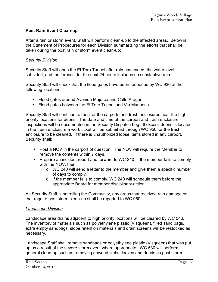## **Post Rain Event Clean-up**

After a rain or storm event, Staff will perform clean-up to the affected areas. Below is the Statement of Procedures for each Division summarizing the efforts that shall be taken during the post rain or storm event clean-up:

#### *Security Division*

Security Staff will open the El Toro Tunnel after rain has ended, the water level subsided, and the forecast for the next 24 hours includes no substantive rain.

Security Staff will check that the flood gates have been reopened by WC 936 at the following locations:

- Flood gates around Avenida Majorca and Calle Aragon.
- Flood gates between the El Toro Tunnel and Via Mariposa.

Security Staff will continue to monitor the carports and trash enclosures near the high priority locations for debris. The date and time of the carport and trash enclosure inspections will be documented in the Security Dispatch Log. If excess debris is located in the trash enclosure a work ticket will be submitted through WC 950 for the trash enclosure to be cleaned. If there is unauthorized loose items stored in any carport, Security shall:

- Post a NOV in the carport of question. The NOV will require the Member to remove the contents within 7 days.
- Prepare an incident report and forward to WC 240, if the member fails to comply with the NOV, then:
	- o WC 240 will send a letter to the member and give them a specific number of days to comply.
	- o If the member fails to comply, WC 240 will schedule them before the appropriate Board for member disciplinary action.

As Security Staff is patrolling the Community, any areas that received rain damage or that require post storm clean-up shall be reported to WC 950.

#### *Landscape Division*

Landscape area drains adjacent to high priority locations will be cleared by WC 540. The inventory of materials such as polyethylene plastic (Visqueen), filled sand bags, extra empty sandbags, slope retention materials and drain screens will be restocked as necessary.

Landscape Staff shall remove sandbags or polyethylene plastic (Visqueen) that was put up as a result of the severe storm event where appropriate. WC 530 will perform general clean-up such as removing downed limbs, leaves and debris as post storm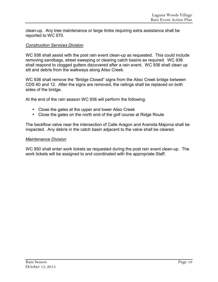clean-up. Any tree maintenance or large limbs requiring extra assistance shall be reported to WC 570.

# *Construction Services Division*

WC 936 shall assist with the post rain event clean-up as requested. This could include removing sandbags, street sweeping or clearing catch basins as required. WC 936 shall respond to clogged gutters discovered after a rain event. WC 936 shall clean up silt and debris from the walkways along Aliso Creek.

WC 936 shall remove the "Bridge Closed" signs from the Aliso Creek bridge between CDS 60 and 12. After the signs are removed, the railings shall be replaced on both sides of the bridge.

At the end of the rain season WC 936 will perform the following:

- Close the gates at the upper and lower Aliso Creek
- Close the gates on the north end of the golf course at Ridge Route

The backflow valve near the intersection of Calle Aragon and Avenida Majorca shall be inspected. Any debris in the catch basin adjacent to the valve shall be cleared.

# *Maintenance Division*

WC 950 shall enter work tickets as requested during the post rain event clean-up. The work tickets will be assigned to and coordinated with the appropriate Staff.